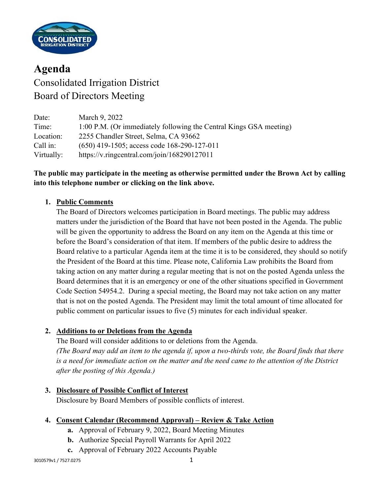

# **Agenda** Consolidated Irrigation District Board of Directors Meeting

| Date:      | March 9, 2022                                                      |
|------------|--------------------------------------------------------------------|
| Time:      | 1:00 P.M. (Or immediately following the Central Kings GSA meeting) |
| Location:  | 2255 Chandler Street, Selma, CA 93662                              |
| Call in:   | $(650)$ 419-1505; access code 168-290-127-011                      |
| Virtually: | https://v.ringcentral.com/join/168290127011                        |

# **The public may participate in the meeting as otherwise permitted under the Brown Act by calling into this telephone number or clicking on the link above.**

# **1. Public Comments**

The Board of Directors welcomes participation in Board meetings. The public may address matters under the jurisdiction of the Board that have not been posted in the Agenda. The public will be given the opportunity to address the Board on any item on the Agenda at this time or before the Board's consideration of that item. If members of the public desire to address the Board relative to a particular Agenda item at the time it is to be considered, they should so notify the President of the Board at this time. Please note, California Law prohibits the Board from taking action on any matter during a regular meeting that is not on the posted Agenda unless the Board determines that it is an emergency or one of the other situations specified in Government Code Section 54954.2. During a special meeting, the Board may not take action on any matter that is not on the posted Agenda. The President may limit the total amount of time allocated for public comment on particular issues to five (5) minutes for each individual speaker.

## **2. Additions to or Deletions from the Agenda**

The Board will consider additions to or deletions from the Agenda. *(The Board may add an item to the agenda if, upon a two-thirds vote, the Board finds that there is a need for immediate action on the matter and the need came to the attention of the District after the posting of this Agenda.)*

## **3. Disclosure of Possible Conflict of Interest**

Disclosure by Board Members of possible conflicts of interest.

#### **4. Consent Calendar (Recommend Approval) – Review & Take Action**

- **a.** Approval of February 9, 2022, Board Meeting Minutes
- **b.** Authorize Special Payroll Warrants for April 2022
- **c.** Approval of February 2022 Accounts Payable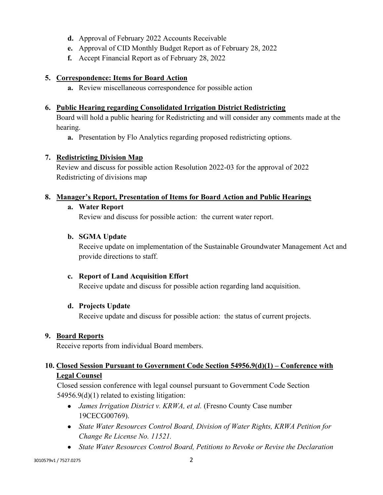- **d.** Approval of February 2022 Accounts Receivable
- **e.** Approval of CID Monthly Budget Report as of February 28, 2022
- **f.** Accept Financial Report as of February 28, 2022

## **5. Correspondence: Items for Board Action**

**a.** Review miscellaneous correspondence for possible action

## **6. Public Hearing regarding Consolidated Irrigation District Redistricting**

Board will hold a public hearing for Redistricting and will consider any comments made at the hearing.

**a.** Presentation by Flo Analytics regarding proposed redistricting options.

#### **7. Redistricting Division Map**

Review and discuss for possible action Resolution 2022-03 for the approval of 2022 Redistricting of divisions map

## **8. Manager's Report, Presentation of Items for Board Action and Public Hearings**

#### **a. Water Report**

Review and discuss for possible action: the current water report.

#### **b. SGMA Update**

Receive update on implementation of the Sustainable Groundwater Management Act and provide directions to staff.

## **c. Report of Land Acquisition Effort**

Receive update and discuss for possible action regarding land acquisition.

#### **d. Projects Update**

Receive update and discuss for possible action: the status of current projects.

#### **9. Board Reports**

Receive reports from individual Board members.

# **10. Closed Session Pursuant to Government Code Section 54956.9(d)(1) – Conference with Legal Counsel**

Closed session conference with legal counsel pursuant to Government Code Section 54956.9(d)(1) related to existing litigation:

- *James Irrigation District v. KRWA, et al.* (Fresno County Case number 19CECG00769).
- *State Water Resources Control Board, Division of Water Rights, KRWA Petition for Change Re License No. 11521.*
- *State Water Resources Control Board, Petitions to Revoke or Revise the Declaration*